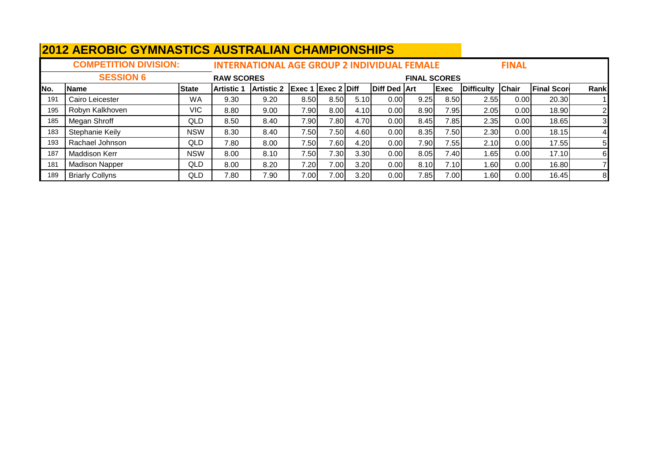|      | <u>ALIVUUV UTIIIIAUTIVU AUVITIALIAII VITAIIII IUIIUI III U</u> |              |                   |                                                    |                           |                   |      |                     |                     |              |                   |              |                    |                |
|------|----------------------------------------------------------------|--------------|-------------------|----------------------------------------------------|---------------------------|-------------------|------|---------------------|---------------------|--------------|-------------------|--------------|--------------------|----------------|
|      | <b>COMPETITION DIVISION:</b>                                   |              |                   | <b>INTERNATIONAL AGE GROUP 2 INDIVIDUAL FEMALE</b> |                           |                   |      |                     |                     |              |                   | <b>FINAL</b> |                    |                |
|      | <b>SESSION 6</b>                                               |              | <b>RAW SCORES</b> |                                                    |                           |                   |      |                     | <b>FINAL SCORES</b> |              |                   |              |                    |                |
| INo. | <b>Name</b>                                                    | <b>State</b> | <b>Artistic 1</b> | Artistic 2                                         | <b>Exec 1 Exec 2 Diff</b> |                   |      | <b>Diff Ded Art</b> |                     | <b>IExec</b> | <b>Difficulty</b> | <b>Chair</b> | <b>Final Score</b> | Rank           |
| 191  | Cairo Leicester                                                | WA           | 9.30              | 9.20                                               | 8.50                      | 8.50              | 5.10 | 0.00                | 9.25                | 8.50         | 2.55              | 0.00         | 20.30              |                |
| 195  | Robyn Kalkhoven                                                | <b>VIC</b>   | 8.80              | 9.00                                               | 7.90                      | 8.00              | 4.10 | 0.00                | 8.90                | 7.95         | 2.05              | 0.00         | 18.90              | $\overline{2}$ |
| 185  | Megan Shroff                                                   | QLD          | 8.50              | 8.40                                               | 7.90                      | 7.80              | 4.70 | 0.00                | 8.45                | 7.85         | 2.35              | 0.00         | 18.65              | 31             |
| 183  | Stephanie Keily                                                | <b>NSW</b>   | 8.30              | 8.40                                               | 7.50                      | 7.50 <sub>1</sub> | 4.60 | 0.001               | 8.35                | 7.50         | 2.30              | 0.00         | 18.15              |                |
| 193  | Rachael Johnson                                                | QLD          | 7.80              | 8.00                                               | 7.50                      | 7.601             | 4.20 | 0.001               | 7.90                | 7.55         | 2.10              | 0.00         | 17.55              | 51             |
| 187  | <b>Maddison Kerr</b>                                           | NSW          | 8.00              | 8.10                                               | 7.50                      | 7.30 <sub>1</sub> | 3.30 | 0.00                | 8.05                | 7.40         | 1.65              | 0.00         | 17.10              | 61             |
| 181  | <b>Madison Napper</b>                                          | QLD          | 8.00              | 8.20                                               | 7.20                      | 7.00              | 3.20 | 0.001               | 8.10                | 7.10         | 1.60I             | 0.00         | 16.80              |                |
| 189  | <b>Briarly Collyns</b>                                         | QLD          | 7.80              | 7.90                                               | 7.00                      | 7.00              | 3.20 | 0.001               | 7.85                | 7.00         | 1.60 l            | 0.00         | 16.45              | 8              |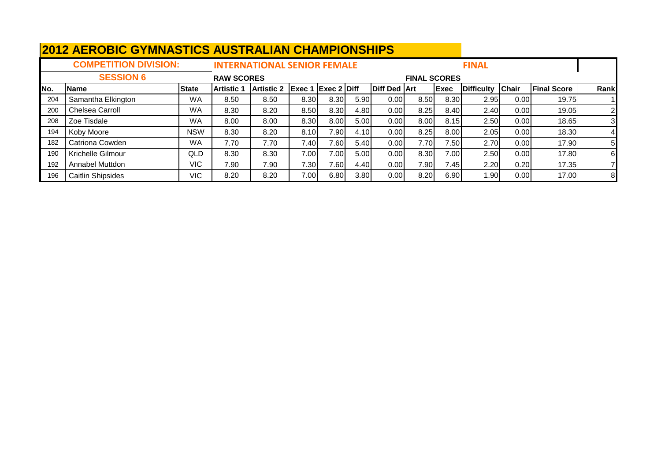|     | <u>ZUIZ AERUDIU UTIVINASTIUS AUSTRALIAN UNAIVIPIUNSNIFS</u> |              |                   |                                    |                           |      |      |                     |                     |             |                   |              |                    |      |
|-----|-------------------------------------------------------------|--------------|-------------------|------------------------------------|---------------------------|------|------|---------------------|---------------------|-------------|-------------------|--------------|--------------------|------|
|     | <b>COMPETITION DIVISION:</b>                                |              |                   | <b>INTERNATIONAL SENIOR FEMALE</b> |                           |      |      |                     |                     |             | <b>FINAL</b>      |              |                    |      |
|     | <b>SESSION 6</b>                                            |              | <b>RAW SCORES</b> |                                    |                           |      |      |                     | <b>FINAL SCORES</b> |             |                   |              |                    |      |
| No. | <b>Name</b>                                                 | <b>State</b> | IArtistic 1       | <b>Artistic 2</b>                  | <b>Exec 1 Exec 2 Diff</b> |      |      | <b>Diff Ded Art</b> |                     | <b>Exec</b> | <b>Difficulty</b> | <b>Chair</b> | <b>Final Score</b> | Rank |
| 204 | Samantha Elkington                                          | <b>WA</b>    | 8.50              | 8.50                               | 8.30                      | 8.30 | 5.90 | 0.00                | 8.50                | 8.30        | 2.95              | 0.00         | 19.75              |      |
| 200 | Chelsea Carroll                                             | WA           | 8.30              | 8.20                               | 8.50                      | 8.30 | 4.80 | 0.00                | 8.25                | 8.40        | 2.40              | 0.00         | 19.05              |      |
| 208 | Zoe Tisdale                                                 | WA           | 8.00              | 8.00                               | 8.30                      | 8.00 | 5.00 | 0.00                | 8.00                | 8.15        | 2.50              | 0.00         | 18.65              | 3    |
| 194 | Koby Moore                                                  | <b>NSW</b>   | 8.30              | 8.20                               | 8.10                      | 7.90 | 4.10 | 0.00                | 8.25                | 8.00        | 2.05              | 0.00         | 18.30              |      |
| 182 | Catriona Cowden                                             | <b>WA</b>    | 7.70              | 7.70                               | 7.40                      | 7.60 | 5.40 | 0.00                | 7.70                | 7.50        | 2.70              | 0.00         | 17.90              | 5    |
| 190 | Krichelle Gilmour                                           | QLD          | 8.30              | 8.30                               | 7.00                      | 7.00 | 5.00 | 0.00                | 8.30                | 7.00        | 2.50              | 0.00         | 17.80              | 6    |
| 192 | Annabel Muttdon                                             | VIC          | 7.90              | 7.90                               | 7.30                      | 7.60 | 4.40 | 0.00                | 7.90                | 7.45        | 2.20              | 0.20         | 17.35              |      |
| 196 | <b>Caitlin Shipsides</b>                                    | VIC          | 8.20              | 8.20                               | 7.00                      | 6.80 | 3.80 | 0.00                | 8.20                | 6.90        | 1.90              | 0.00         | 17.00              | 8    |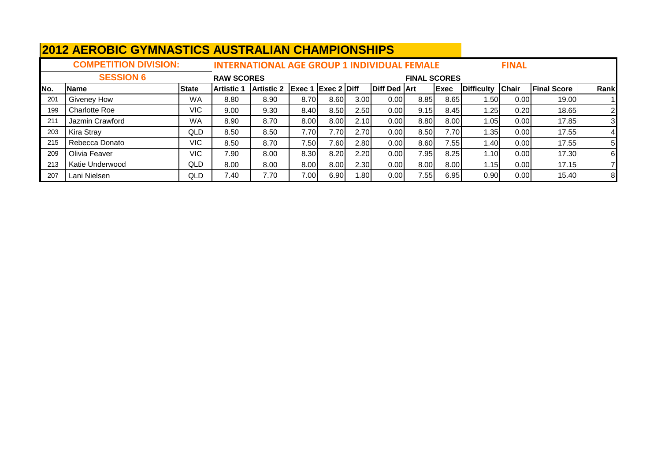|     | <u>ZUIZ ALIYODIU UTIWIYAJTIUJ AUJTIVALIAN UTIAWI IUNJITII J</u> |              |                   |                                                    |                           |      |      |                     |                     |             |                  |              |                    |                |
|-----|-----------------------------------------------------------------|--------------|-------------------|----------------------------------------------------|---------------------------|------|------|---------------------|---------------------|-------------|------------------|--------------|--------------------|----------------|
|     | <b>COMPETITION DIVISION:</b>                                    |              |                   | <b>INTERNATIONAL AGE GROUP 1 INDIVIDUAL FEMALE</b> |                           |      |      |                     |                     |             |                  | <b>FINAL</b> |                    |                |
|     | <b>SESSION 6</b>                                                |              | <b>RAW SCORES</b> |                                                    |                           |      |      |                     | <b>FINAL SCORES</b> |             |                  |              |                    |                |
| No. | <b>Name</b>                                                     | <b>State</b> | <b>Artistic 1</b> | <b>Artistic 2</b>                                  | <b>Exec 1 Exec 2 Diff</b> |      |      | <b>Diff Ded Art</b> |                     | <b>Exec</b> | Difficulty Chair |              | <b>Final Score</b> | Rank           |
| 201 | Giveney How                                                     | WA           | 8.80              | 8.90                                               | 8.70                      | 8.60 | 3.00 | 0.00                | 8.85                | 8.65        | l .50 l          | 0.00         | 19.00              |                |
| 199 | <b>Charlotte Roe</b>                                            | VIC.         | 9.00              | 9.30                                               | 8.40                      | 8.50 | 2.50 | 0.00                | 9.15                | 8.45        | 1.25             | 0.20         | 18.65              | $\overline{2}$ |
| 211 | Jazmin Crawford                                                 | WA           | 8.90              | 8.70                                               | 8.00                      | 8.00 | 2.10 | 0.00                | 8.80                | 8.00        | 1.05             | 0.00         | 17.85              | 31             |
| 203 | Kira Stray                                                      | QLD          | 8.50              | 8.50                                               | 7.70I                     | 7.70 | 2.70 | 0.00                | 8.50                | 7.70        | 1.35             | 0.00         | 17.55              | 41             |
| 215 | Rebecca Donato                                                  | VIC.         | 8.50              | 8.70                                               | 7.50l                     | 7.60 | 2.80 | 0.00                | 8.60                | 7.55        | 1.40             | 0.00         | 17.55              | 5 <sub>l</sub> |
| 209 | Olivia Feaver                                                   | VIC          | 7.90              | 8.00                                               | 8.30                      | 8.20 | 2.20 | 0.00                | 7.95                | 8.25        | 1.10             | 0.00         | 17.30              | 61             |
| 213 | Katie Underwood                                                 | QLD          | 8.00              | 8.00                                               | 8.00                      | 8.00 | 2.30 | 0.00                | 8.00                | 8.00        | 1.15             | 0.00         | 17.15              |                |
| 207 | Lani Nielsen                                                    | QLD          | 7.40              | 7.70                                               | 7.00                      | 6.90 | .801 | 0.00                | 7.55                | 6.95        | 0.90             | 0.00         | 15.40              | 8              |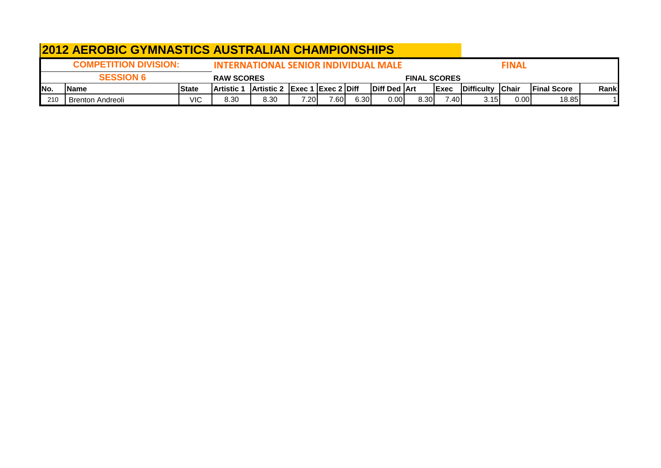|      | <b>2012 AEROBIC GYMNASTICS AUSTRALIAN CHAMPIONSHIPS</b>                     |              |                   |                                      |       |      |      |                       |                     |              |                          |              |                     |       |
|------|-----------------------------------------------------------------------------|--------------|-------------------|--------------------------------------|-------|------|------|-----------------------|---------------------|--------------|--------------------------|--------------|---------------------|-------|
|      | <b>COMPETITION DIVISION:</b><br><b>INTERNATIONAL SENIOR INDIVIDUAL MALE</b> |              |                   |                                      |       |      |      |                       |                     |              |                          | <b>FINAL</b> |                     |       |
|      | <b>SESSION 6</b>                                                            |              | <b>RAW SCORES</b> |                                      |       |      |      |                       | <b>FINAL SCORES</b> |              |                          |              |                     |       |
| INo. | <b>Name</b>                                                                 | <b>State</b> | <b>Artistic</b>   | <b>Artistic 2 Exec 1 Exec 2 Diff</b> |       |      |      | <b>IDiff Ded IArt</b> |                     | <b>IExec</b> | <b>IDifficulty Chair</b> |              | <b>IFinal Score</b> | Rankl |
| 210  | <b>Brenton Andreoli</b>                                                     | VIC          | 8.30              | 8.30                                 | 7.201 | 7.60 | 6.30 | 0.00                  | 8.30                | 7.401        | 3.15                     | 0.00         | 18.85               |       |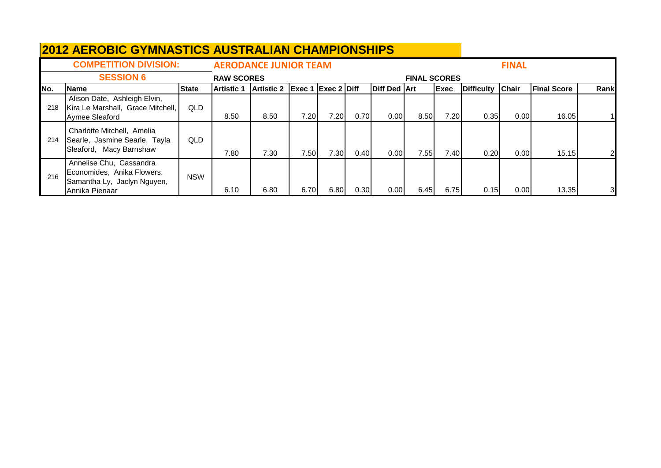|      | <b>2012 AEROBIC GYMNASTICS AUSTRALIAN CHAMPIONSHIPS</b>                                                |              |                   |                              |                                      |      |      |              |                     |             |            |              |                    |       |
|------|--------------------------------------------------------------------------------------------------------|--------------|-------------------|------------------------------|--------------------------------------|------|------|--------------|---------------------|-------------|------------|--------------|--------------------|-------|
|      | <b>COMPETITION DIVISION:</b>                                                                           |              |                   | <b>AERODANCE JUNIOR TEAM</b> |                                      |      |      |              |                     |             |            | <b>FINAL</b> |                    |       |
|      | <b>SESSION 6</b>                                                                                       |              | <b>RAW SCORES</b> |                              |                                      |      |      |              | <b>FINAL SCORES</b> |             |            |              |                    |       |
| INo. | <b>Name</b>                                                                                            | <b>State</b> | <b>Artistic 1</b> | <b>Artistic 2</b>            | $\left $ Exec 1 $\left $ Exec 2 Diff |      |      | Diff Ded Art |                     | <b>Exec</b> | Difficulty | <b>Chair</b> | <b>Final Score</b> | Rankl |
| 218  | Alison Date, Ashleigh Elvin,<br>Kira Le Marshall, Grace Mitchell,<br>Aymee Sleaford                    | QLD          | 8.50              | 8.50                         | 7.20                                 | 7.20 | 0.70 | 0.00         | 8.50                | 7.20        | 0.35       | 0.00         | 16.05              |       |
| 214  | Charlotte Mitchell, Amelia<br>Searle, Jasmine Searle, Tayla<br>Sleaford, Macy Barnshaw                 | QLD          | 7.80              | 7.30                         | 7.50                                 | 7.30 | 0.40 | 0.00         | 7.55                | 7.40 l      | 0.20       | 0.00         | 15.15              |       |
| 216  | Annelise Chu, Cassandra<br>Economides, Anika Flowers,<br>Samantha Ly, Jaclyn Nguyen,<br>Annika Pienaar | <b>NSW</b>   | 6.10              | 6.80                         | 6.70                                 | 6.80 | 0.30 | 0.00         | 6.45                | 6.75        | 0.15       | 0.00         | 13.35              | 3     |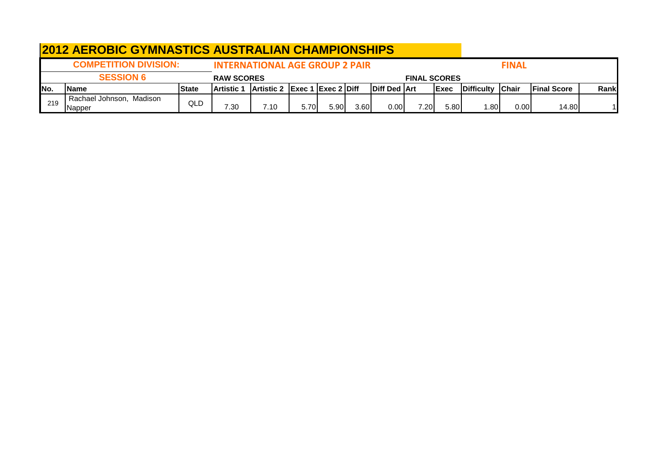|      | <b>2012 AEROBIC GYMNASTICS AUSTRALIAN CHAMPIONSHIPS</b>      |        |                   |                                       |      |      |      |                       |      |              |                  |              |                     |       |
|------|--------------------------------------------------------------|--------|-------------------|---------------------------------------|------|------|------|-----------------------|------|--------------|------------------|--------------|---------------------|-------|
|      | <b>COMPETITION DIVISION:</b>                                 |        |                   | <b>INTERNATIONAL AGE GROUP 2 PAIR</b> |      |      |      |                       |      |              |                  | <b>FINAL</b> |                     |       |
|      | <b>SESSION 6</b><br><b>RAW SCORES</b><br><b>FINAL SCORES</b> |        |                   |                                       |      |      |      |                       |      |              |                  |              |                     |       |
| INo. | <b>IName</b>                                                 | lState | <b>Artistic 1</b> | Artistic 2 Exec 1 Exec 2 Diff         |      |      |      | <b>IDiff Ded IArt</b> |      | <b>IExec</b> | Difficulty Chair |              | <b>IFinal Score</b> | Rankl |
| 219  | Rachael Johnson, Madison<br><b>INapper</b>                   | QLD    | 7.30              | 7.10                                  | 5.70 | 5.90 | 3.60 | 0.00                  | 7.20 | 5.80         | .80              | 0.00         | 14.80               |       |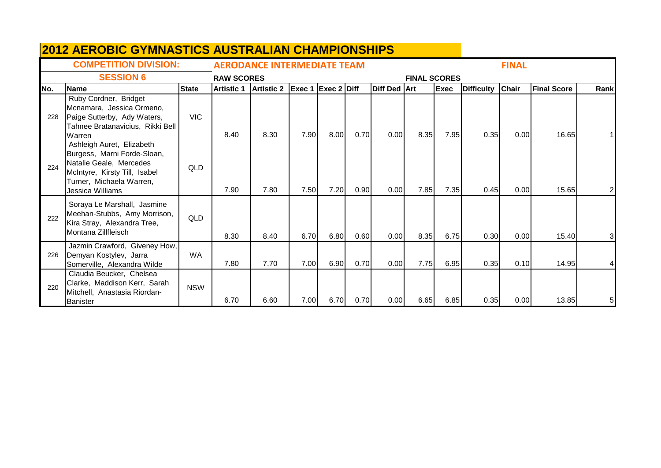|      | <b>2012 AEROBIC GYMNASTICS AUSTRALIAN CHAMPIONSHIPS</b>                                                                                                              |              |                   |                                    |        |                    |      |                     |                     |             |                   |              |                    |                |
|------|----------------------------------------------------------------------------------------------------------------------------------------------------------------------|--------------|-------------------|------------------------------------|--------|--------------------|------|---------------------|---------------------|-------------|-------------------|--------------|--------------------|----------------|
|      | <b>COMPETITION DIVISION:</b>                                                                                                                                         |              |                   | <b>AERODANCE INTERMEDIATE TEAM</b> |        |                    |      |                     |                     |             |                   | <b>FINAL</b> |                    |                |
|      | <b>SESSION 6</b>                                                                                                                                                     |              | <b>RAW SCORES</b> |                                    |        |                    |      |                     | <b>FINAL SCORES</b> |             |                   |              |                    |                |
| INo. | <b>Name</b>                                                                                                                                                          | <b>State</b> | <b>Artistic 1</b> | <b>Artistic 2</b>                  | Exec 1 | <b>Exec 2 Diff</b> |      | <b>Diff Ded Art</b> |                     | <b>Exec</b> | <b>Difficulty</b> | <b>Chair</b> | <b>Final Score</b> | Rank           |
| 228  | Ruby Cordner, Bridget<br>Mcnamara, Jessica Ormeno,<br>Paige Sutterby, Ady Waters,<br>Tahnee Bratanavicius, Rikki Bell<br>Warren                                      | <b>VIC</b>   | 8.40              | 8.30                               | 7.90   | 8.00               | 0.70 | 0.001               | 8.35                | 7.95        | 0.35              | 0.00         | 16.65              |                |
| 224  | Ashleigh Auret, Elizabeth<br>Burgess, Marni Forde-Sloan,<br>Natalie Geale, Mercedes<br>McIntyre, Kirsty Till, Isabel<br>Turner, Michaela Warren,<br>Jessica Williams | <b>QLD</b>   | 7.90              | 7.80                               | 7.50   | 7.20               | 0.90 | 0.00                | 7.85                | 7.35        | 0.45              | 0.00         | 15.65              | $\overline{2}$ |
| 222  | Soraya Le Marshall, Jasmine<br>Meehan-Stubbs, Amy Morrison,<br>Kira Stray, Alexandra Tree,<br>Montana Zillfleisch                                                    | <b>QLD</b>   | 8.30              | 8.40                               | 6.70   | 6.80               | 0.60 | 0.00                | 8.35                | 6.75        | 0.30              | 0.00         | 15.40              | 31             |
| 226  | Jazmin Crawford, Giveney How,<br>Demyan Kostylev, Jarra<br>Somerville, Alexandra Wilde                                                                               | <b>WA</b>    | 7.80              | 7.70                               | 7.00   | 6.90               | 0.70 | 0.00                | 7.75                | 6.95        | 0.35              | 0.10         | 14.95              |                |
| 220  | Claudia Beucker, Chelsea<br>Clarke, Maddison Kerr, Sarah<br>Mitchell, Anastasia Riordan-<br><b>Banister</b>                                                          | <b>NSW</b>   | 6.70              | 6.60                               | 7.00   | 6.70               | 0.70 | 0.00                | 6.65                | 6.85        | 0.35              | 0.00         | 13.85              | 51             |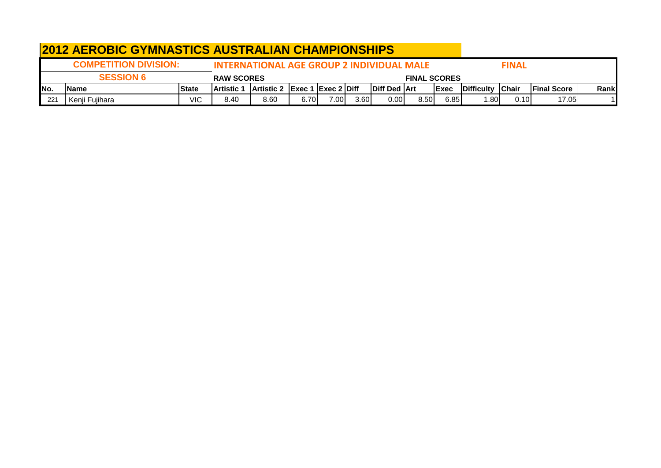|      | <b>2012 AEROBIC GYMNASTICS AUSTRALIAN CHAMPIONSHIPS</b>                                   |               |                    |                                      |       |      |      |                       |      |              |                          |       |                     |       |
|------|-------------------------------------------------------------------------------------------|---------------|--------------------|--------------------------------------|-------|------|------|-----------------------|------|--------------|--------------------------|-------|---------------------|-------|
|      | <b>COMPETITION DIVISION:</b><br>INTERNATIONAL AGE GROUP 2 INDIVIDUAL MALE<br><b>FINAL</b> |               |                    |                                      |       |      |      |                       |      |              |                          |       |                     |       |
|      | <b>SESSION 6</b><br><b>RAW SCORES</b><br><b>FINAL SCORES</b>                              |               |                    |                                      |       |      |      |                       |      |              |                          |       |                     |       |
| INo. | Name                                                                                      | <b>IState</b> | <b>IArtistic 1</b> | <b>Artistic 2 Exec 1 Exec 2 Diff</b> |       |      |      | <b>IDiff Ded IArt</b> |      | <b>IExec</b> | <b>IDifficulty Chair</b> |       | <b>IFinal Score</b> | Rankl |
| 221  | Kenji Fujihara                                                                            | VIC           | 8.40               | 8.60                                 | 6.70I | 7.00 | 3.60 | 0.00 <sub>l</sub>     | 8.50 | 6.85         | 1.80                     | 0.10l | 17.05               |       |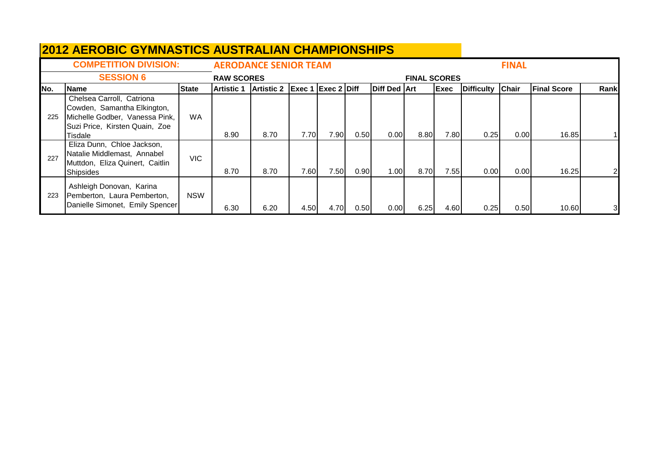|      | <b>2012 AEROBIC GYMNASTICS AUSTRALIAN CHAMPIONSHIPS</b>                                                                                 |              |                   |                              |                           |      |      |                     |                     |      |                   |              |                    |                |
|------|-----------------------------------------------------------------------------------------------------------------------------------------|--------------|-------------------|------------------------------|---------------------------|------|------|---------------------|---------------------|------|-------------------|--------------|--------------------|----------------|
|      | <b>COMPETITION DIVISION:</b>                                                                                                            |              |                   | <b>AERODANCE SENIOR TEAM</b> |                           |      |      |                     |                     |      |                   | <b>FINAL</b> |                    |                |
|      | <b>SESSION 6</b>                                                                                                                        |              | <b>RAW SCORES</b> |                              |                           |      |      |                     | <b>FINAL SCORES</b> |      |                   |              |                    |                |
| INo. | <b>Name</b>                                                                                                                             | <b>State</b> | Artistic 1        | <b>Artistic 2</b>            | <b>Exec 1 Exec 2 Diff</b> |      |      | <b>Diff Ded Art</b> |                     | Exec | <b>Difficulty</b> | Chair        | <b>Final Score</b> | Rank           |
| 225  | Chelsea Carroll, Catriona<br>Cowden, Samantha Elkington,<br>Michelle Godber, Vanessa Pink,<br>Suzi Price, Kirsten Quain, Zoe<br>Tisdale | <b>WA</b>    | 8.90              | 8.70                         | 7.70                      | 7.90 | 0.50 | 0.00                | 8.80                | 7.80 | 0.25              | 0.00         | 16.85              |                |
| 227  | Eliza Dunn, Chloe Jackson,<br>Natalie Middlemast, Annabel<br>Muttdon, Eliza Quinert, Caitlin<br><b>Shipsides</b>                        | <b>VIC</b>   | 8.70              | 8.70                         | 7.60                      | 7.50 | 0.90 | 1.00                | 8.70                | 7.55 | 0.00 <sub>l</sub> | 0.00         | 16.25              |                |
| 223  | Ashleigh Donovan, Karina<br>Pemberton, Laura Pemberton,<br>Danielle Simonet, Emily Spencer                                              | <b>NSW</b>   | 6.30              | 6.20                         | 4.50                      | 4.70 | 0.50 | 0.00                | 6.25                | 4.60 | 0.25              | 0.50         | 10.60              | 3 <sup>l</sup> |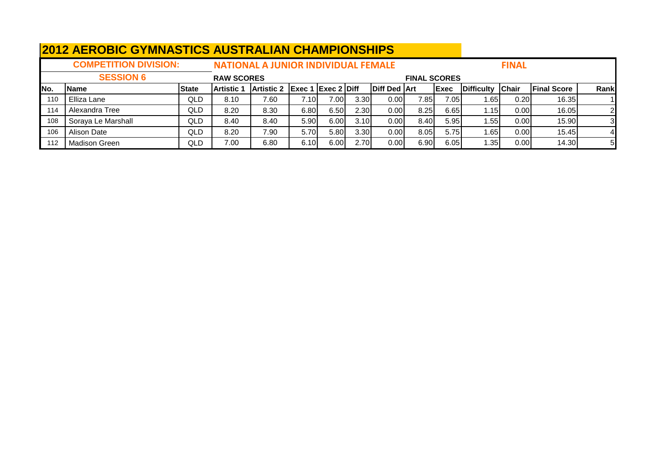|      | <b>2012 AEROBIC GYMNASTICS AUSTRALIAN CHAMPIONSHIPS</b> |              |                   |                                            |      |      |                   |              |                     |              |                   |              |                    |                |
|------|---------------------------------------------------------|--------------|-------------------|--------------------------------------------|------|------|-------------------|--------------|---------------------|--------------|-------------------|--------------|--------------------|----------------|
|      | <b>COMPETITION DIVISION:</b>                            |              |                   | <b>NATIONAL A JUNIOR INDIVIDUAL FEMALE</b> |      |      |                   |              |                     |              |                   | <b>FINAL</b> |                    |                |
|      | <b>SESSION 6</b>                                        |              | <b>RAW SCORES</b> |                                            |      |      |                   |              | <b>FINAL SCORES</b> |              |                   |              |                    |                |
| INo. | <b>Name</b>                                             | <b>State</b> | <b>Artistic 1</b> | Artistic 2 Exec 1 Exec 2 Diff              |      |      |                   | Diff Ded Art |                     | <b>IExec</b> | <b>Difficulty</b> | <b>Chair</b> | <b>Final Score</b> | Rank           |
| 110  | Elliza Lane                                             | QLD          | 8.10              | 7.60                                       | 7.10 | 7.00 | 3.30 <sub>l</sub> | 0.001        | 7.85                | 7.05         | 1.651             | 0.20         | 16.35              |                |
| 114  | Alexandra Tree                                          | QLD          | 8.20              | 8.30                                       | 6.80 | 6.50 | 2.30              | 0.00         | 8.25                | 6.65         | 1.15              | 0.00         | 16.05              |                |
| 108  | Soraya Le Marshall                                      | QLD          | 8.40              | 8.40                                       | 5.90 | 6.00 | 3.10              | 0.00         | 8.40                | 5.95         | 1.55I             | 0.00         | 15.90              | 3 <sup>l</sup> |
| 106  | Alison Date                                             | QLD          | 8.20              | 7.90                                       | 5.70 | 5.80 | 3.30              | 0.001        | 8.05                | 5.75         | 1.65              | 0.00         | 15.45              |                |
| 112  | <b>Madison Green</b>                                    | QLD          | 7.00              | 6.80                                       | 6.10 | 6.00 | 2.70              | 0.00         | 6.90                | 6.05         | 1.35 I            | 0.00         | 14.30              | 5 <sub>l</sub> |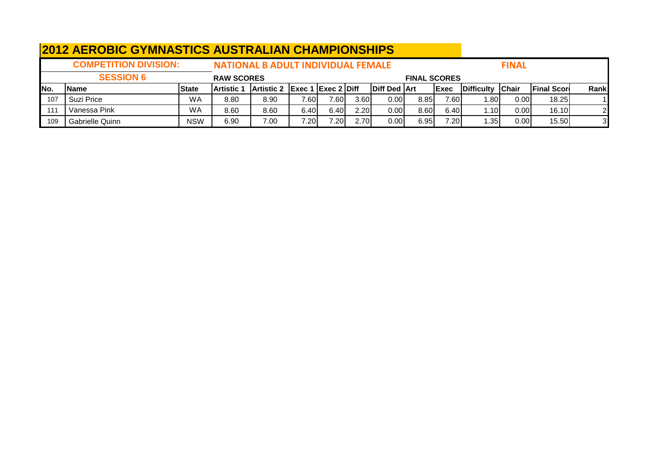|      | <b>2012 AEROBIC GYMNASTICS AUSTRALIAN CHAMPIONSHIPS</b> |              |                   |                                           |                    |                   |      |                     |                     |              |                   |               |                    |      |
|------|---------------------------------------------------------|--------------|-------------------|-------------------------------------------|--------------------|-------------------|------|---------------------|---------------------|--------------|-------------------|---------------|--------------------|------|
|      | <b>COMPETITION DIVISION:</b>                            |              |                   | <b>NATIONAL B ADULT INDIVIDUAL FEMALE</b> |                    |                   |      |                     |                     |              |                   | <b>FINAL</b>  |                    |      |
|      | <b>SESSION 6</b>                                        |              | <b>RAW SCORES</b> |                                           |                    |                   |      |                     | <b>FINAL SCORES</b> |              |                   |               |                    |      |
| INo. | <b>Name</b>                                             | <b>State</b> | <b>Artistic 1</b> | <b>Artistic 2</b>                         | Exec 1 Exec 2 Diff |                   |      | <b>Diff Ded Art</b> |                     | <b>IExec</b> | <b>Difficulty</b> | <b>IChair</b> | <b>Final Score</b> | Rank |
| 107  | Suzi Price                                              | WA           | 8.80              | 8.90                                      | 7.60               | $7.60 \mid$       | 3.60 | 0.001               | 8.85                | 7.60         | .80 <sub>1</sub>  | 0.00          | 18.25              |      |
| 111  | Vanessa Pink                                            | WA           | 8.60              | 8.60                                      | 6.40I              | 6.40              | 2.20 | 0.001               | 8.60                | 6.40         | . 101. ،          | 0.00          | 16.10              | 21   |
| 109  | Gabrielle Quinn                                         | <b>NSW</b>   | 6.90              | 7.00                                      | 7.20               | 7.20 <sub>1</sub> | 2.70 | 0.001               | 6.95                | 7.20         | ا35.              | 0.00          | 15.50              |      |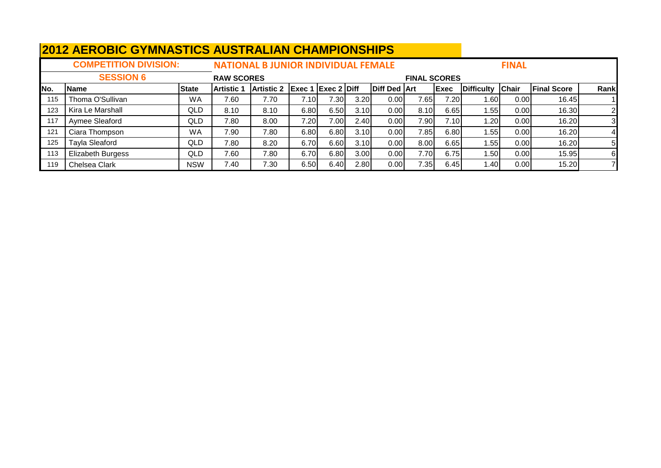|      | <b>2012 AEROBIC GYMNASTICS AUSTRALIAN CHAMPIONSHIPS</b> |              |                   |                                            |                                          |      |      |              |                     |       |                   |              |                    |                |
|------|---------------------------------------------------------|--------------|-------------------|--------------------------------------------|------------------------------------------|------|------|--------------|---------------------|-------|-------------------|--------------|--------------------|----------------|
|      | <b>COMPETITION DIVISION:</b>                            |              |                   | <b>NATIONAL B JUNIOR INDIVIDUAL FEMALE</b> |                                          |      |      |              |                     |       |                   | <b>FINAL</b> |                    |                |
|      | <b>SESSION 6</b>                                        |              | <b>RAW SCORES</b> |                                            |                                          |      |      |              | <b>FINAL SCORES</b> |       |                   |              |                    |                |
| INo. | <b>Name</b>                                             | <b>State</b> | <b>Artistic</b>   | <b>Artistic 2</b>                          | $\textsf{Exec 1}$ $\textsf{Exec 2}$ Diff |      |      | Diff Ded Art |                     | Exec  | <b>Difficulty</b> | Chair        | <b>Final Score</b> | Rank           |
| 115  | Thoma O'Sullivan                                        | <b>WA</b>    | 7.60              | 7.70                                       | 7.10                                     | 7.30 | 3.20 | 0.001        | 7.65                | 7.20I | 1.601             | 0.00         | 16.45              |                |
| 123  | Kira Le Marshall                                        | <b>QLD</b>   | 8.10              | 8.10                                       | 6.80                                     | 6.50 | 3.10 | 0.00         | 8.10                | 6.65  | 1.55              | 0.00         | 16.30              | $\overline{2}$ |
| 117  | Aymee Sleaford                                          | QLD          | 7.80              | 8.00                                       | 7.20                                     | 7.00 | 2.40 | 0.001        | 7.90                | 7.10  | 1.20              | 0.00         | 16.20              | 3              |
| 121  | Ciara Thompson                                          | <b>WA</b>    | 7.90              | 7.80                                       | 6.80                                     | 6.80 | 3.10 | 0.00         | 7.85                | 6.80  | 1.55              | 0.00         | 16.20              | 4              |
| 125  | <b>Tayla Sleaford</b>                                   | <b>QLD</b>   | 7.80              | 8.20                                       | 6.70                                     | 6.60 | 3.10 | 0.00         | 8.00                | 6.65  | 1.55              | 0.00         | 16.20              | 51             |
| 113  | Elizabeth Burgess                                       | <b>QLD</b>   | 7.60              | 7.80                                       | 6.70                                     | 6.80 | 3.00 | 0.001        | 7.70                | 6.75  | 1.50              | 0.00         | 15.95              | 6              |
| 119  | Chelsea Clark                                           | NSW          | 7.40              | 7.30                                       | 6.50                                     | 6.40 | 2.80 | 0.00         | 7.35                | 6.45  | 1.40              | 0.00         | 15.20              |                |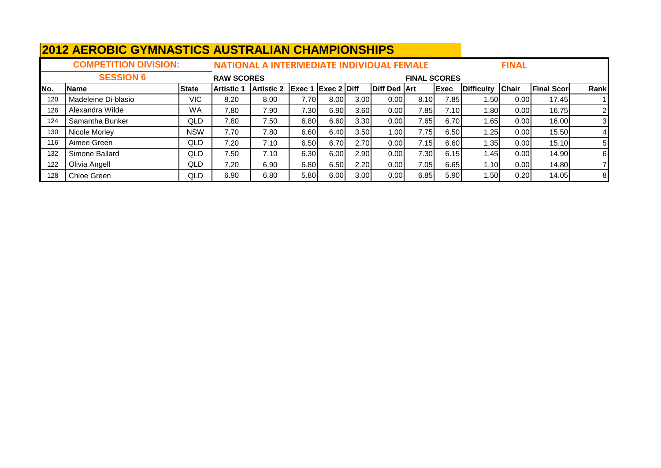|      | <u>ZUTZ ALIYODIU UTIWIYAJTIUJ AUJTIYALIAN UTIAWI IUNJITII J</u> |              |                   |                                                  |                           |      |                   |                     |                     |             |                   |              |                    |                |
|------|-----------------------------------------------------------------|--------------|-------------------|--------------------------------------------------|---------------------------|------|-------------------|---------------------|---------------------|-------------|-------------------|--------------|--------------------|----------------|
|      | <b>COMPETITION DIVISION:</b>                                    |              |                   | <b>NATIONAL A INTERMEDIATE INDIVIDUAL FEMALE</b> |                           |      |                   |                     |                     |             |                   | <b>FINAL</b> |                    |                |
|      | <b>SESSION 6</b>                                                |              | <b>RAW SCORES</b> |                                                  |                           |      |                   |                     | <b>FINAL SCORES</b> |             |                   |              |                    |                |
| INo. | <b>Name</b>                                                     | <b>State</b> | <b>Artistic 1</b> | <b>Artistic 2</b>                                | <b>Exec 1 Exec 2 Diff</b> |      |                   | <b>Diff Ded Art</b> |                     | <b>Exec</b> | <b>Difficulty</b> | <b>Chair</b> | <b>Final Score</b> | Rank           |
| 120  | Madeleine Di-blasio                                             | VIC          | 8.20              | 8.00                                             | 7.70                      | 8.00 | 3.00 <sub>l</sub> | 0.001               | 8.10                | 7.85        | 1.501             | 0.00         | 17.45              |                |
| 126  | Alexandra Wilde                                                 | WA           | 7.80              | 7.90                                             | 7.30                      | 6.90 | 3.60              | 0.001               | 7.85                | 7.10        | 1.80I             | 0.00         | 16.75              | $\overline{2}$ |
| 124  | Samantha Bunker                                                 | QLD          | 7.80              | 7.50                                             | 6.80                      | 6.60 | 3.30              | 0.001               | 7.65                | 6.70        | 1.65              | 0.00         | 16.00              | 31             |
| 130  | Nicole Morley                                                   | NSW          | 7.70              | 7.80                                             | 6.60                      | 6.40 | 3.50              | 1.001               | 7.75                | 6.50        | 1.25              | 0.00         | 15.50              |                |
| 116  | Aimee Green                                                     | QLD          | 7.20              | 7.10                                             | 6.50                      | 6.70 | 2.70              | 0.001               | 7.15                | 6.60        | 1.35              | 0.00         | 15.10              | 51             |
| 132  | Simone Ballard                                                  | QLD          | 7.50              | 7.10                                             | 6.30                      | 6.00 | 2.90              | 0.001               | 7.30                | 6.15        | 1.45              | 0.00         | 14.90              | 6              |
| 122  | Olivia Angell                                                   | QLD          | 7.20              | 6.90                                             | 6.80                      | 6.50 | 2.20              | 0.001               | 7.05                | 6.65        | 1.10l             | 0.00         | 14.80              |                |
| 128  | Chloe Green                                                     | QLD          | 6.90              | 6.80                                             | 5.80                      | 6.00 | 3.00              | 0.00                | 6.85                | 5.90        | 1.50 l            | 0.20         | 14.05              | 8              |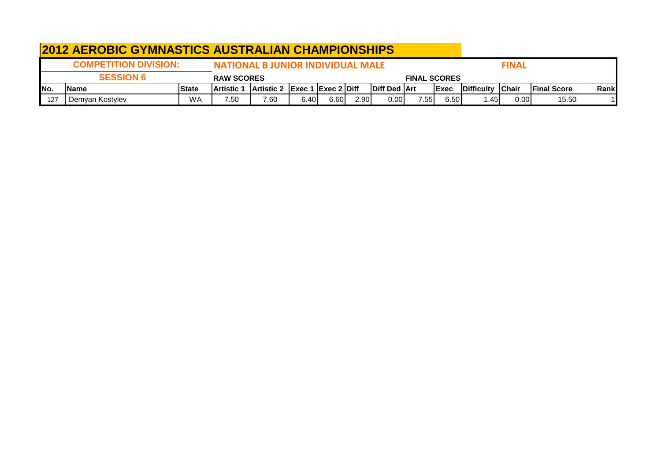|      | <b>2012 AEROBIC GYMNASTICS AUSTRALIAN CHAMPIONSHIPS</b>                                  |              |                    |                                      |      |      |      |                     |                     |              |                    |               |                     |       |
|------|------------------------------------------------------------------------------------------|--------------|--------------------|--------------------------------------|------|------|------|---------------------|---------------------|--------------|--------------------|---------------|---------------------|-------|
|      | <b>COMPETITION DIVISION:</b><br><b>FINAL</b><br><b>NATIONAL B JUNIOR INDIVIDUAL MALE</b> |              |                    |                                      |      |      |      |                     |                     |              |                    |               |                     |       |
|      | <b>SESSION 6</b>                                                                         |              | <b>RAW SCORES</b>  |                                      |      |      |      |                     | <b>FINAL SCORES</b> |              |                    |               |                     |       |
| INo. | lName                                                                                    | <b>State</b> | <b>IArtistic 1</b> | <b>Artistic 2 Exec 1 Exec 2 Diff</b> |      |      |      | <b>Diff Ded Art</b> |                     | <b>IExec</b> | <b>IDifficulty</b> | <b>IChair</b> | <b>IFinal Score</b> | Rankl |
| 127  | Demyan Kostylev                                                                          | <b>WA</b>    | '.50               | 7.60                                 | 6.40 | 6.60 | 2.90 | 0.00 <sub>l</sub>   | 7.551               | 6.50         | 45. ا              | 0.00          | 15.50               |       |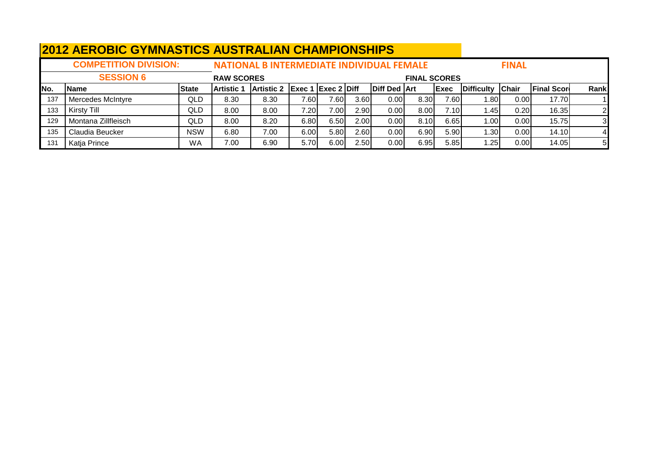|      | <b>2012 AEROBIC GYMNASTICS AUSTRALIAN CHAMPIONSHIPS</b> |              |                   |                                                  |                                                |       |      |                     |                     |              |                   |                   |                    |                |
|------|---------------------------------------------------------|--------------|-------------------|--------------------------------------------------|------------------------------------------------|-------|------|---------------------|---------------------|--------------|-------------------|-------------------|--------------------|----------------|
|      | <b>COMPETITION DIVISION:</b>                            |              |                   | <b>NATIONAL B INTERMEDIATE INDIVIDUAL FEMALE</b> |                                                |       |      |                     |                     |              |                   | <b>FINAL</b>      |                    |                |
|      | <b>SESSION 6</b>                                        |              | <b>RAW SCORES</b> |                                                  |                                                |       |      |                     | <b>FINAL SCORES</b> |              |                   |                   |                    |                |
| INo. | <b>Name</b>                                             | <b>State</b> | <b>Artistic 1</b> | <b>Artistic 2</b>                                | $\left $ Exec 1 $\left $ Exec 2 $\right $ Diff |       |      | <b>Diff Ded Art</b> |                     | <b>IExec</b> | <b>Difficulty</b> | Chair             | <b>Final Score</b> | Rank           |
| 137  | Mercedes McIntyre                                       | QLD          | 8.30              | 8.30                                             | 7.60I                                          | 7.601 | 3.60 | 0.00                | 8.30                | 7.60         | 1.80              | 0.00 <sub>l</sub> | 17.70              |                |
| 133  | Kirsty Till                                             | QLD          | 8.00              | 8.00                                             | 7.20                                           | 7.00  | 2.90 | 0.00 <sub>l</sub>   | 8.00                | 7.10         | 1.45              | 0.20              | 16.35              |                |
| 129  | Montana Zillfleisch                                     | QLD          | 8.00              | 8.20                                             | 6.80                                           | 6.50  | 2.00 | 0.00 <sub>l</sub>   | 8.10                | 6.65         | 1.00              | 0.00              | 15.75              | 3 <sup>l</sup> |
| 135  | Claudia Beucker                                         | <b>NSW</b>   | 6.80              | 7.00                                             | 6.00                                           | 5.80  | 2.60 | 0.00 <sub>l</sub>   | 6.90                | 5.90         | 1.30 <sub>l</sub> | 0.00              | 14.10              |                |
| 131  | Katja Prince                                            | <b>WA</b>    | 7.00              | 6.90                                             | 5.70                                           | 6.00  | 2.50 | 0.00 <sub>l</sub>   | 6.95                | 5.85         | 1.25              | 0.00              | 14.05              | 5              |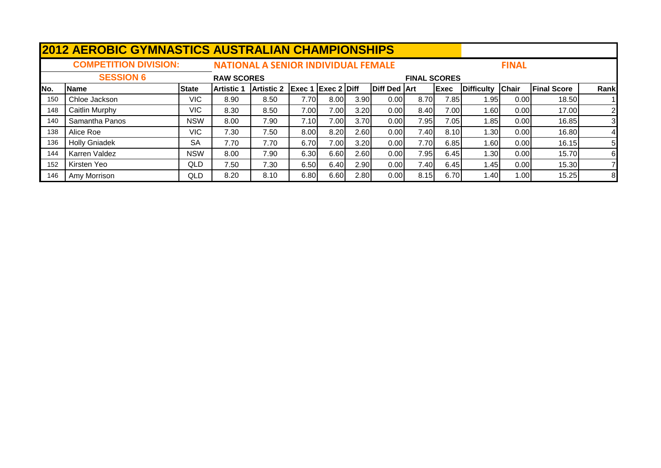|     | <b>2012 AEROBIC GYMNASTICS AUSTRALIAN CHAMPIONSHIPS</b> |              |                   |                                            |                           |      |      |                     |                     |             |                   |              |                    |      |
|-----|---------------------------------------------------------|--------------|-------------------|--------------------------------------------|---------------------------|------|------|---------------------|---------------------|-------------|-------------------|--------------|--------------------|------|
|     | <b>COMPETITION DIVISION:</b>                            |              |                   | <b>NATIONAL A SENIOR INDIVIDUAL FEMALE</b> |                           |      |      |                     |                     |             |                   | <b>FINAL</b> |                    |      |
|     | <b>SESSION 6</b>                                        |              | <b>RAW SCORES</b> |                                            |                           |      |      |                     | <b>FINAL SCORES</b> |             |                   |              |                    |      |
| No. | Name                                                    | <b>State</b> | <b>Artistic 1</b> | <b>Artistic 2</b>                          | <b>Exec 1 Exec 2 Diff</b> |      |      | <b>Diff Ded Art</b> |                     | <b>Exec</b> | <b>Difficulty</b> | Chair        | <b>Final Score</b> | Rank |
| 150 | Chloe Jackson                                           | VIC.         | 8.90              | 8.50                                       | 7.70                      | 8.00 | 3.90 | 0.001               | 8.70                | 7.85I       | 1.95              | 0.00         | 18.50              |      |
| 148 | Caitlin Murphy                                          | VIC.         | 8.30              | 8.50                                       | 7.00                      | 7.00 | 3.20 | 0.001               | 8.40                | 7.00        | 1.60              | 0.00         | 17.00              | 2    |
| 140 | Samantha Panos                                          | <b>NSW</b>   | 8.00              | 7.90                                       | 7.10I                     | 7.00 | 3.70 | 0.001               | 7.95                | 7.05I       | 1.85              | 0.00         | 16.85              | 3    |
| 138 | Alice Roe                                               | VIC.         | 7.30              | 7.50                                       | 8.00                      | 8.20 | 2.60 | 0.001               | 7.40                | 8.10        | 1.30I             | 0.00         | 16.80              | 4    |
| 136 | <b>Holly Gniadek</b>                                    | <b>SA</b>    | 7.70              | 7.70                                       | 6.70                      | 7.00 | 3.20 | 0.00                | 7.70                | 6.85        | 1.60              | 0.00         | 16.15              | 5    |
| 144 | Karren Valdez                                           | <b>NSW</b>   | 8.00              | 7.90                                       | 6.30                      | 6.60 | 2.60 | 0.001               | 7.95                | 6.45        | 1.30              | 0.00         | 15.70              | 6    |
| 152 | Kirsten Yeo                                             | QLD          | 7.50              | 7.30                                       | 6.50                      | 6.40 | 2.90 | 0.00                | 7.40                | 6.45        | 1.45              | 0.00         | 15.30              |      |
| 146 | Amy Morrison                                            | QLD          | 8.20              | 8.10                                       | 6.80                      | 6.60 | 2.80 | 0.00                | 8.15                | 6.70        | 1.40              | 1.00l        | 15.25              | 8    |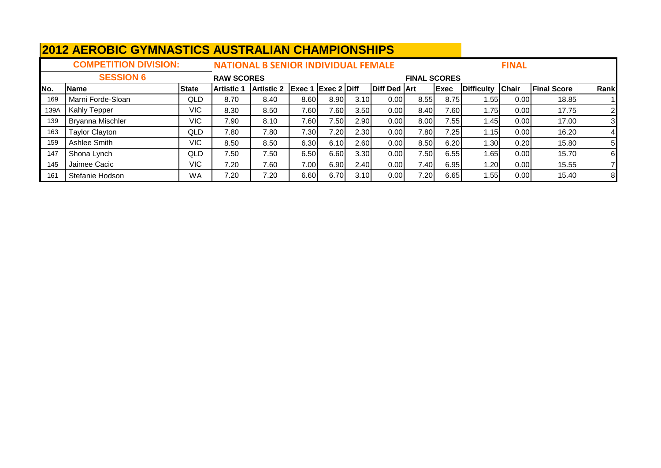|      | <u>ZUTZ AERUBIU UTIWINASTIUS AUSTRALIAN UNAWPIUNSHIPS</u> |              |                    |                                            |                           |      |      |                     |                     |              |                   |              |                    |                |
|------|-----------------------------------------------------------|--------------|--------------------|--------------------------------------------|---------------------------|------|------|---------------------|---------------------|--------------|-------------------|--------------|--------------------|----------------|
|      | <b>COMPETITION DIVISION:</b>                              |              |                    | <b>NATIONAL B SENIOR INDIVIDUAL FEMALE</b> |                           |      |      |                     |                     |              |                   | <b>FINAL</b> |                    |                |
|      | <b>SESSION 6</b>                                          |              | <b>RAW SCORES</b>  |                                            |                           |      |      |                     | <b>FINAL SCORES</b> |              |                   |              |                    |                |
| No.  | Name                                                      | <b>State</b> | <b>IArtistic</b> 1 | <b>Artistic 2</b>                          | <b>Exec 1 Exec 2 Diff</b> |      |      | <b>Diff Ded Art</b> |                     | <b>IExec</b> | <b>Difficulty</b> | <b>Chair</b> | <b>Final Score</b> | Rank           |
| 169  | Marni Forde-Sloan                                         | QLD          | 8.70               | 8.40                                       | 8.60                      | 8.90 | 3.10 | 0.00                | 8.55                | 8.75         | 1.551             | 0.00         | 18.85              |                |
| 139A | <b>Kahly Tepper</b>                                       | VIC.         | 8.30               | 8.50                                       | 7.60                      | 7.60 | 3.50 | 0.00                | 8.40                | 7.60I        | 1.75              | 0.00         | 17.75              | $\overline{2}$ |
| 139  | Bryanna Mischler                                          | VIC.         | 7.90               | 8.10                                       | 7.60                      | 7.50 | 2.90 | 0.00                | 8.00                | 7.55         | 1.451             | 0.00         | 17.00              | 31             |
| 163  | <b>Taylor Clayton</b>                                     | QLD          | 7.80               | 7.80                                       | 7.30                      | 7.20 | 2.30 | 0.00                | 7.80                | 7.25         | 1.15              | 0.00         | 16.20              | 4 <sub>l</sub> |
| 159  | Ashlee Smith                                              | VIC          | 8.50               | 8.50                                       | 6.30                      | 6.10 | 2.60 | 0.00                | 8.50                | 6.20         | 1.30              | 0.20         | 15.80              | 5 <sub>l</sub> |
| 147  | Shona Lynch                                               | <b>QLD</b>   | 7.50               | 7.50                                       | 6.50                      | 6.60 | 3.30 | 0.00                | 7.50                | 6.55         | 1.65              | 0.00         | 15.70              | 61             |
| 145  | Jaimee Cacic                                              | VIC          | 7.20               | 7.60                                       | 7.00                      | 6.90 | 2.40 | 0.00                | 7.40                | 6.95         | 1.20              | 0.00         | 15.55              |                |
| 161  | Stefanie Hodson                                           | <b>WA</b>    | 7.20               | 7.20                                       | 6.60                      | 6.70 | 3.10 | 0.00                | 7.20                | 6.65         | 1.55              | 0.00         | 15.40              | 81             |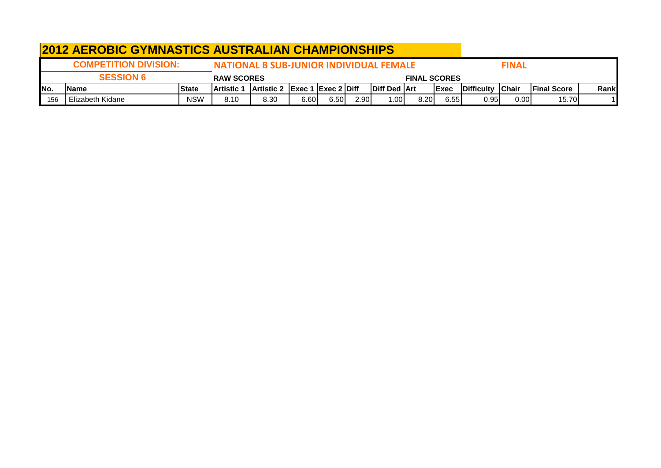|      | <b>2012 AEROBIC GYMNASTICS AUSTRALIAN CHAMPIONSHIPS</b>                                        |              |                    |                                      |      |      |      |                       |      |              |                          |      |                     |       |
|------|------------------------------------------------------------------------------------------------|--------------|--------------------|--------------------------------------|------|------|------|-----------------------|------|--------------|--------------------------|------|---------------------|-------|
|      | <b>COMPETITION DIVISION:</b><br><b>NATIONAL B SUB-JUNIOR INDIVIDUAL FEMALE</b><br><b>FINAL</b> |              |                    |                                      |      |      |      |                       |      |              |                          |      |                     |       |
|      | <b>SESSION 6</b><br><b>RAW SCORES</b><br><b>FINAL SCORES</b>                                   |              |                    |                                      |      |      |      |                       |      |              |                          |      |                     |       |
| INo. | lName                                                                                          | <b>State</b> | <b>IArtistic 1</b> | <b>Artistic 2 Exec 1 Exec 2 Diff</b> |      |      |      | <b>IDiff Ded IArt</b> |      | <b>IExec</b> | <b>IDifficulty Chair</b> |      | <b>IFinal Score</b> | Rankl |
| 156  | Elizabeth Kidane                                                                               | <b>NSW</b>   | 8.10               | 8.30                                 | 6.60 | 6.50 | 2.90 | .001                  | 8.20 | 6.55         | 0.95                     | 0.00 | 15.70               |       |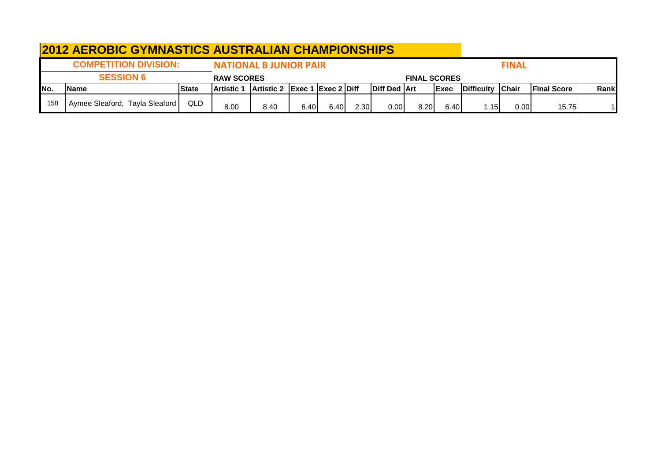|      | <b>2012 AEROBIC GYMNASTICS AUSTRALIAN CHAMPIONSHIPS</b> |              |                               |                               |      |      |      |              |                     |       |                          |              |                     |       |
|------|---------------------------------------------------------|--------------|-------------------------------|-------------------------------|------|------|------|--------------|---------------------|-------|--------------------------|--------------|---------------------|-------|
|      | <b>COMPETITION DIVISION:</b>                            |              | <b>NATIONAL B JUNIOR PAIR</b> |                               |      |      |      |              |                     |       |                          | <b>FINAL</b> |                     |       |
|      | <b>SESSION 6</b>                                        |              | <b>RAW SCORES</b>             |                               |      |      |      |              | <b>FINAL SCORES</b> |       |                          |              |                     |       |
| INo. | <b>IName</b>                                            | <b>State</b> | <b>Artistic</b>               | Artistic 2 Exec 1 Exec 2 Diff |      |      |      | Diff Ded Art |                     | lExec | <b>IDifficulty Chair</b> |              | <b>IFinal Score</b> | Rankl |
| 158  | Aymee Sleaford, Tayla Sleaford                          | QLD          | 8.00                          | 8.40                          | 6.40 | 6.40 | 2.30 | 0.00         | 8.20                | 6.40  | 1.15                     | 0.00         | 15.75               |       |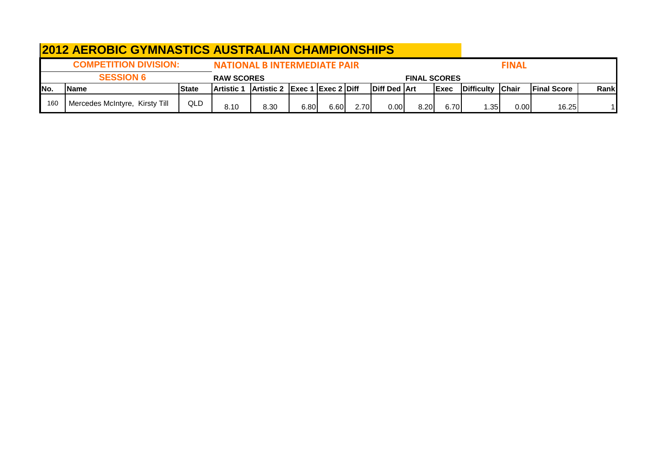|      | <b>2012 AEROBIC GYMNASTICS AUSTRALIAN CHAMPIONSHIPS</b> |              |                   |                                                               |      |      |      |              |                     |              |                          |              |                     |       |
|------|---------------------------------------------------------|--------------|-------------------|---------------------------------------------------------------|------|------|------|--------------|---------------------|--------------|--------------------------|--------------|---------------------|-------|
|      | <b>COMPETITION DIVISION:</b>                            |              |                   | <b>NATIONAL B INTERMEDIATE PAIR</b>                           |      |      |      |              |                     |              |                          | <b>FINAL</b> |                     |       |
|      | <b>SESSION 6</b>                                        |              | <b>RAW SCORES</b> |                                                               |      |      |      |              | <b>FINAL SCORES</b> |              |                          |              |                     |       |
| INo. | <b>IName</b>                                            | <b>State</b> | <b>Artistic 1</b> | $\vert$ Artistic 2 $\vert$ Exec 1 $\vert$ Exec 2 $\vert$ Diff |      |      |      | Diff Ded Art |                     | <b>IExec</b> | <b>IDifficulty Chair</b> |              | <b>IFinal Score</b> | Rankl |
| 160  | Mercedes McIntyre, Kirsty Till                          | QLD          | 8.10              | 8.30                                                          | 6.80 | 6.60 | 2.70 | 0.00         | 8.20                | 6.70         | 1.35                     | 0.00         | 16.25               |       |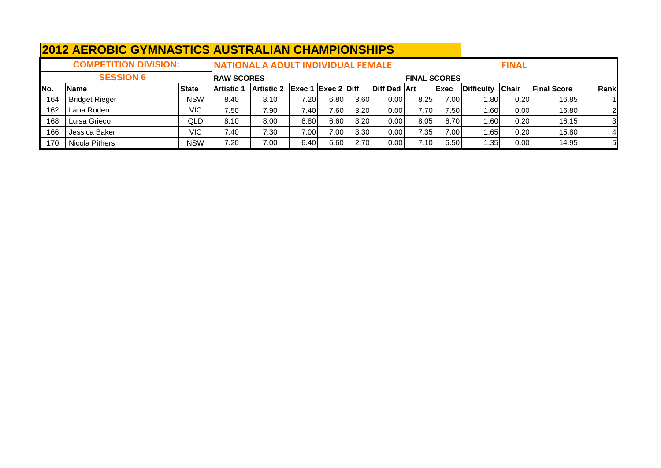|      | <b>2012 AEROBIC GYMNASTICS AUSTRALIAN CHAMPIONSHIPS</b> |              |                   |                                           |                                                |      |      |                     |                     |              |            |              |                    |                |
|------|---------------------------------------------------------|--------------|-------------------|-------------------------------------------|------------------------------------------------|------|------|---------------------|---------------------|--------------|------------|--------------|--------------------|----------------|
|      | <b>COMPETITION DIVISION:</b>                            |              |                   | <b>NATIONAL A ADULT INDIVIDUAL FEMALE</b> |                                                |      |      |                     |                     |              |            | <b>FINAL</b> |                    |                |
|      | <b>SESSION 6</b>                                        |              | <b>RAW SCORES</b> |                                           |                                                |      |      |                     | <b>FINAL SCORES</b> |              |            |              |                    |                |
| INo. | <b>Name</b>                                             | <b>State</b> | Artistic ′        | <b>Artistic 2</b>                         | $\left $ Exec 1 $\left $ Exec 2 $\right $ Diff |      |      | <b>Diff Ded Art</b> |                     | <b>IExec</b> | Difficulty | <b>Chair</b> | <b>Final Score</b> | Rankl          |
| 164  | <b>Bridget Rieger</b>                                   | <b>NSW</b>   | 8.40              | 8.10                                      | 7.20                                           | 6.80 | 3.60 | 0.00                | 8.25                | 7.00         | 1.80       | 0.20         | 16.85              |                |
| 162  | Lana Roden                                              | VIC          | 7.50              | 7.90                                      | 7.40                                           | 7.60 | 3.20 | 0.00                | 7.70                | 7.50         | 1.60       | 0.00         | 16.80              | $\mathbf{2}$   |
| 168  | Luisa Grieco                                            | <b>QLD</b>   | 8.10              | 8.00                                      | 6.80                                           | 6.60 | 3.20 | 0.00                | 8.05                | 6.70         | 1.60       | 0.20         | 16.15              |                |
| 166  | Jessica Baker                                           | VIC.         | 7.40              | 7.30                                      | 7.00                                           | 7.00 | 3.30 | 0.00                | 7.35                | 7.00         | 1.65       | 0.20         | 15.80              |                |
| 170  | Nicola Pithers                                          | <b>NSW</b>   | 7.20              | 7.00                                      | 6.40                                           | 6.60 | 2.70 | 0.00                | 7.10                | 6.50         | 1.35       | 0.00         | 14.95              | 5 <sub>l</sub> |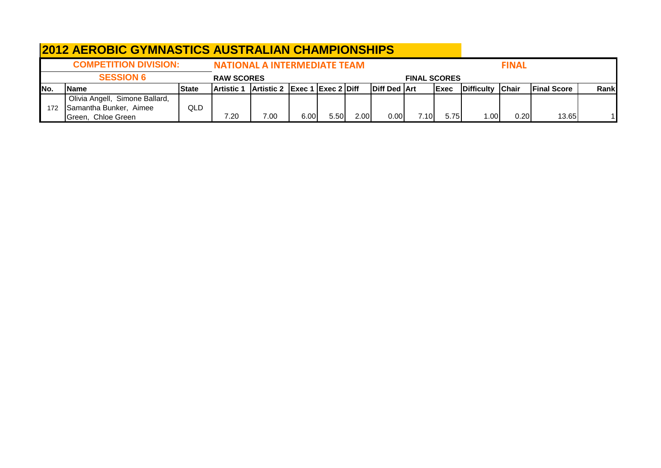|     | <b>2012 AEROBIC GYMNASTICS AUSTRALIAN CHAMPIONSHIPS</b> |              |                   |                               |      |      |      |                       |                     |              |                    |               |                     |       |
|-----|---------------------------------------------------------|--------------|-------------------|-------------------------------|------|------|------|-----------------------|---------------------|--------------|--------------------|---------------|---------------------|-------|
|     | <b>COMPETITION DIVISION:</b>                            |              |                   | NATIONAL A INTERMEDIATE TEAM  |      |      |      |                       |                     |              |                    | <b>FINAL</b>  |                     |       |
|     | <b>SESSION 6</b>                                        |              | <b>RAW SCORES</b> |                               |      |      |      |                       | <b>FINAL SCORES</b> |              |                    |               |                     |       |
| No. | <b>IName</b>                                            | <b>State</b> | Artistic 1        | Artistic 2 Exec 1 Exec 2 Diff |      |      |      | <b>IDiff Ded IArt</b> |                     | <b>IExec</b> | <b>IDifficulty</b> | <b>IChair</b> | <b>IFinal Score</b> | Ranki |
|     | Olivia Angell, Simone Ballard,                          |              |                   |                               |      |      |      |                       |                     |              |                    |               |                     |       |
| 172 | Samantha Bunker, Aimee                                  | QLD.         |                   |                               |      |      |      |                       |                     |              |                    |               |                     |       |
|     | Green, Chloe Green                                      |              | 7.20              | 7.00                          | 6.00 | 5.50 | 2.00 | 0.00                  | 7.10                | 5.75         | 1.00 <sub>l</sub>  | 0.201         | 13.65               |       |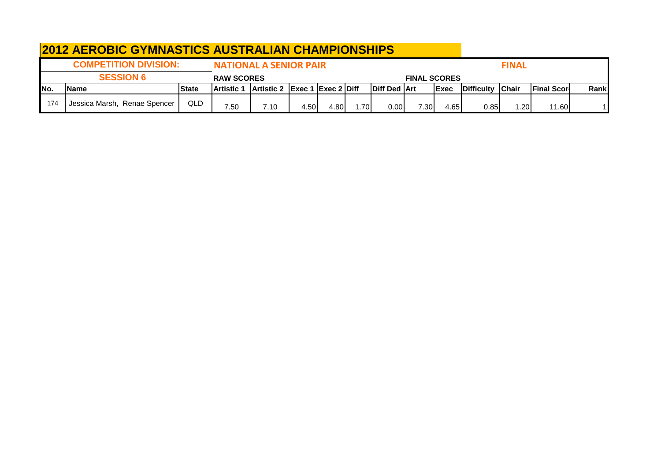|      | <b>2012 AEROBIC GYMNASTICS AUSTRALIAN CHAMPIONSHIPS</b> |              |                   |                                                               |      |      |      |                     |                     |              |                   |              |                    |       |
|------|---------------------------------------------------------|--------------|-------------------|---------------------------------------------------------------|------|------|------|---------------------|---------------------|--------------|-------------------|--------------|--------------------|-------|
|      | <b>COMPETITION DIVISION:</b>                            |              |                   | <b>NATIONAL A SENIOR PAIR</b>                                 |      |      |      |                     |                     |              |                   | <b>FINAL</b> |                    |       |
|      | <b>SESSION 6</b>                                        |              | <b>RAW SCORES</b> |                                                               |      |      |      |                     | <b>FINAL SCORES</b> |              |                   |              |                    |       |
| INo. | <b>Name</b>                                             | <b>State</b> | <b>Artistic 1</b> | $\vert$ Artistic 2 $\vert$ Exec 1 $\vert$ Exec 2 $\vert$ Diff |      |      |      | <b>Diff Ded Art</b> |                     | <b>IExec</b> | <b>Difficulty</b> | <b>Chair</b> | <b>Final Score</b> | Rankl |
| 174  | Jessica Marsh, Renae Spencer                            | QLD          | 7.50              | 7.10                                                          | 4.50 | 4.80 | 1.70 | 0.00                | 7.30 <sub>1</sub>   | 4.65         | 0.85              | .201         | 11.60              |       |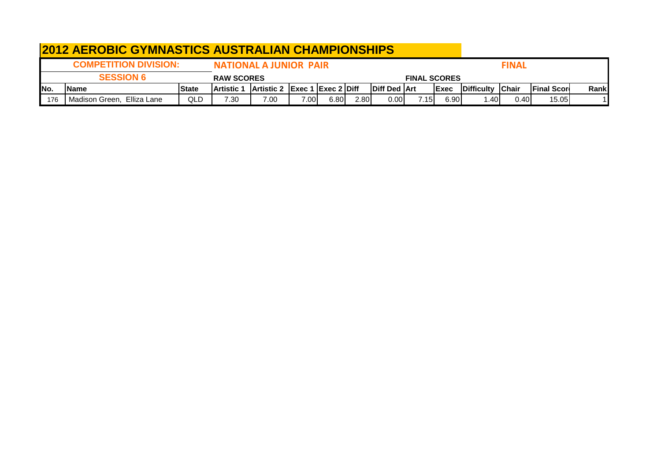|      | <b>2012 AEROBIC GYMNASTICS AUSTRALIAN CHAMPIONSHIPS</b> |              |                   |                                      |      |      |      |                       |                     |              |                          |       |                     |       |
|------|---------------------------------------------------------|--------------|-------------------|--------------------------------------|------|------|------|-----------------------|---------------------|--------------|--------------------------|-------|---------------------|-------|
|      | <b>COMPETITION DIVISION:</b>                            |              |                   | <b>FINAL</b>                         |      |      |      |                       |                     |              |                          |       |                     |       |
|      | <b>SESSION 6</b>                                        |              | <b>RAW SCORES</b> |                                      |      |      |      |                       | <b>FINAL SCORES</b> |              |                          |       |                     |       |
| INo. | <b>IName</b>                                            | <b>State</b> | <b>Artistic 1</b> | <b>Artistic 2 Exec 1 Exec 2 Diff</b> |      |      |      | <b>IDiff Ded IArt</b> |                     | <b>IExec</b> | <b>IDifficulty Chair</b> |       | <b>IFinal Score</b> | Rankl |
| 176  | Madison Green, Elliza Lane                              | QLD          | 7.30              | 7.00                                 | 7.00 | 6.80 | 2.80 | 0.00 <sub>l</sub>     | 7.15I               | 6.90         | . 401                    | 0.401 | 15.05               |       |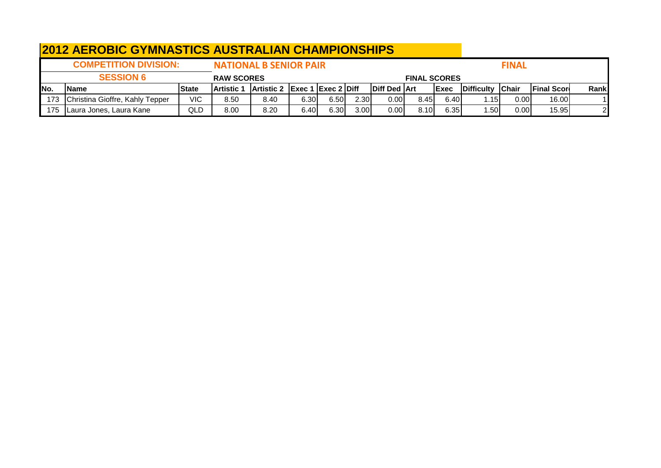| <b>2012 AEROBIC GYMNASTICS AUSTRALIAN CHAMPIONSHIPS</b> |                                     |                               |                   |                                      |      |      |      |                     |      |              |                   |               |                     |       |
|---------------------------------------------------------|-------------------------------------|-------------------------------|-------------------|--------------------------------------|------|------|------|---------------------|------|--------------|-------------------|---------------|---------------------|-------|
|                                                         | <b>COMPETITION DIVISION:</b>        | <b>NATIONAL B SENIOR PAIR</b> |                   |                                      |      |      |      |                     |      | <b>FINAL</b> |                   |               |                     |       |
|                                                         | <b>SESSION 6</b>                    | <b>RAW SCORES</b>             |                   |                                      |      |      |      | <b>FINAL SCORES</b> |      |              |                   |               |                     |       |
| INo.                                                    | <b>Name</b>                         | <b>State</b>                  | <b>Artistic 1</b> | <b>Artistic 2 Exec 1 Exec 2 Diff</b> |      |      |      | <b>Diff Ded Art</b> |      | <b>IExec</b> | <b>Difficulty</b> | <b>IChair</b> | <b>IFinal Score</b> | Rankl |
|                                                         | 173 Christina Gioffre, Kahly Tepper | <b>VIC</b>                    | 8.50              | 8.40                                 | 6.30 | 6.50 | 2.30 | 0.00                | 8.45 | 6.40         | 1.15              | 0.00          | 16.00               |       |
| 175                                                     | Laura Jones, Laura Kane             | QLD                           | 8.00              | 8.20                                 | 6.40 | 6.30 | 3.00 | 0.00                | 8.10 | 6.35         | 1.501             | 0.00          | 15.95               |       |